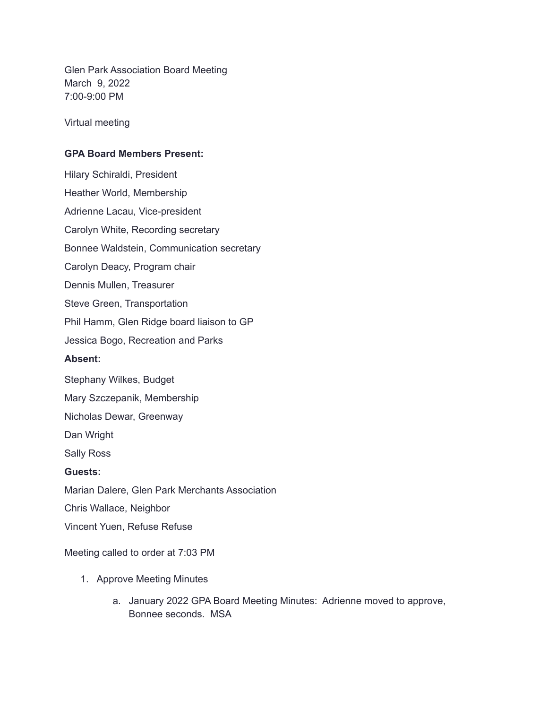Glen Park Association Board Meeting March 9, 2022 7:00-9:00 PM

Virtual meeting

## **GPA Board Members Present:**

Hilary Schiraldi, President Heather World, Membership Adrienne Lacau, Vice-president Carolyn White, Recording secretary Bonnee Waldstein, Communication secretary Carolyn Deacy, Program chair Dennis Mullen, Treasurer Steve Green, Transportation Phil Hamm, Glen Ridge board liaison to GP Jessica Bogo, Recreation and Parks **Absent:** Stephany Wilkes, Budget Mary Szczepanik, Membership Nicholas Dewar, Greenway Dan Wright Sally Ross **Guests:** Marian Dalere, Glen Park Merchants Association Chris Wallace, Neighbor Vincent Yuen, Refuse Refuse

Meeting called to order at 7:03 PM

- 1. Approve Meeting Minutes
	- a. January 2022 GPA Board Meeting Minutes: Adrienne moved to approve, Bonnee seconds. MSA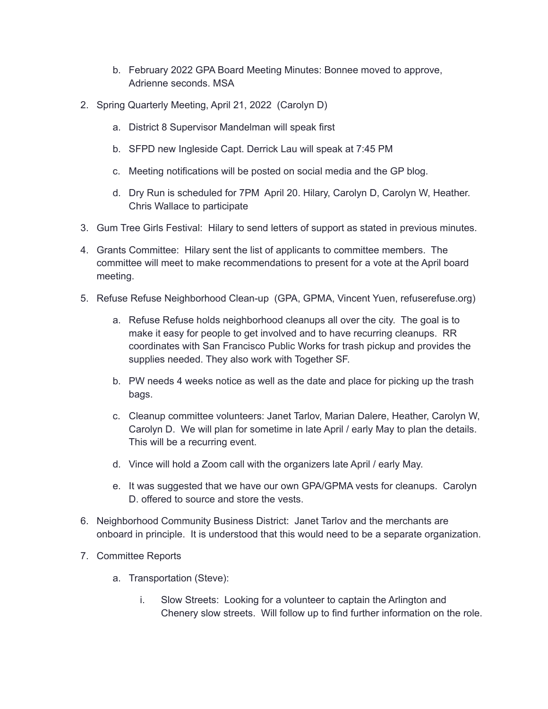- b. February 2022 GPA Board Meeting Minutes: Bonnee moved to approve, Adrienne seconds. MSA
- 2. Spring Quarterly Meeting, April 21, 2022 (Carolyn D)
	- a. District 8 Supervisor Mandelman will speak first
	- b. SFPD new Ingleside Capt. Derrick Lau will speak at 7:45 PM
	- c. Meeting notifications will be posted on social media and the GP blog.
	- d. Dry Run is scheduled for 7PM April 20. Hilary, Carolyn D, Carolyn W, Heather. Chris Wallace to participate
- 3. Gum Tree Girls Festival: Hilary to send letters of support as stated in previous minutes.
- 4. Grants Committee: Hilary sent the list of applicants to committee members. The committee will meet to make recommendations to present for a vote at the April board meeting.
- 5. Refuse Refuse Neighborhood Clean-up (GPA, GPMA, Vincent Yuen, refuserefuse.org)
	- a. Refuse Refuse holds neighborhood cleanups all over the city. The goal is to make it easy for people to get involved and to have recurring cleanups. RR coordinates with San Francisco Public Works for trash pickup and provides the supplies needed. They also work with Together SF.
	- b. PW needs 4 weeks notice as well as the date and place for picking up the trash bags.
	- c. Cleanup committee volunteers: Janet Tarlov, Marian Dalere, Heather, Carolyn W, Carolyn D. We will plan for sometime in late April / early May to plan the details. This will be a recurring event.
	- d. Vince will hold a Zoom call with the organizers late April / early May.
	- e. It was suggested that we have our own GPA/GPMA vests for cleanups. Carolyn D. offered to source and store the vests.
- 6. Neighborhood Community Business District: Janet Tarlov and the merchants are onboard in principle. It is understood that this would need to be a separate organization.
- 7. Committee Reports
	- a. Transportation (Steve):
		- i. Slow Streets: Looking for a volunteer to captain the Arlington and Chenery slow streets. Will follow up to find further information on the role.